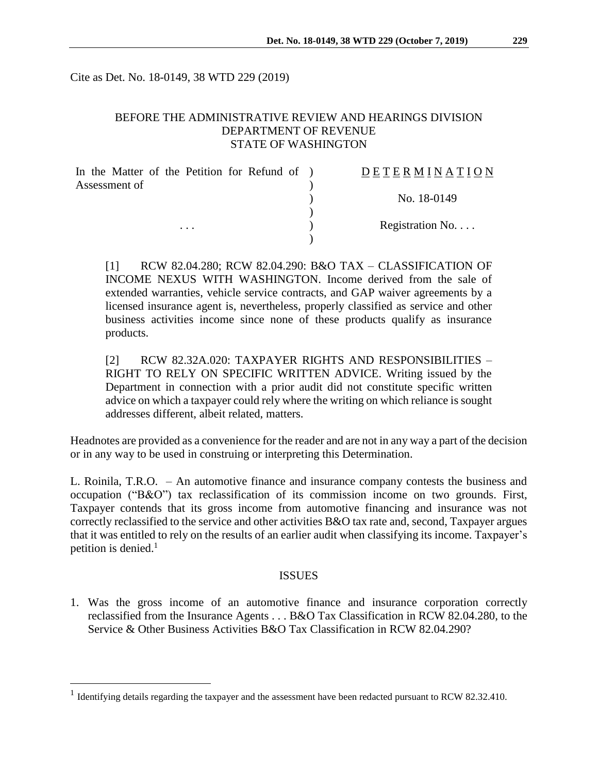Cite as Det. No. 18-0149, 38 WTD 229 (2019)

## BEFORE THE ADMINISTRATIVE REVIEW AND HEARINGS DIVISION DEPARTMENT OF REVENUE STATE OF WASHINGTON

| In the Matter of the Petition for Refund of ) |  | DETERMINATION   |
|-----------------------------------------------|--|-----------------|
| Assessment of                                 |  |                 |
|                                               |  | No. 18-0149     |
|                                               |  |                 |
| $\cdots$                                      |  | Registration No |
|                                               |  |                 |

[1] RCW 82.04.280; RCW 82.04.290: B&O TAX – CLASSIFICATION OF INCOME NEXUS WITH WASHINGTON. Income derived from the sale of extended warranties, vehicle service contracts, and GAP waiver agreements by a licensed insurance agent is, nevertheless, properly classified as service and other business activities income since none of these products qualify as insurance products.

[2] RCW 82.32A.020: TAXPAYER RIGHTS AND RESPONSIBILITIES – RIGHT TO RELY ON SPECIFIC WRITTEN ADVICE. Writing issued by the Department in connection with a prior audit did not constitute specific written advice on which a taxpayer could rely where the writing on which reliance is sought addresses different, albeit related, matters.

Headnotes are provided as a convenience for the reader and are not in any way a part of the decision or in any way to be used in construing or interpreting this Determination.

L. Roinila, T.R.O. – An automotive finance and insurance company contests the business and occupation ("B&O") tax reclassification of its commission income on two grounds. First, Taxpayer contends that its gross income from automotive financing and insurance was not correctly reclassified to the service and other activities B&O tax rate and, second, Taxpayer argues that it was entitled to rely on the results of an earlier audit when classifying its income. Taxpayer's petition is denied. $<sup>1</sup>$ </sup>

#### ISSUES

1. Was the gross income of an automotive finance and insurance corporation correctly reclassified from the Insurance Agents . . . B&O Tax Classification in RCW 82.04.280, to the Service & Other Business Activities B&O Tax Classification in RCW 82.04.290?

<sup>&</sup>lt;sup>1</sup> Identifying details regarding the taxpayer and the assessment have been redacted pursuant to RCW 82.32.410.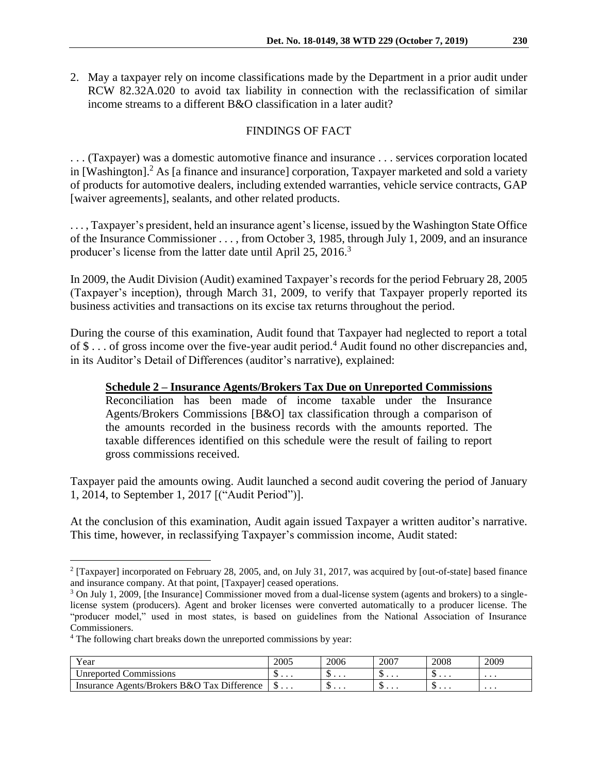2. May a taxpayer rely on income classifications made by the Department in a prior audit under RCW 82.32A.020 to avoid tax liability in connection with the reclassification of similar income streams to a different B&O classification in a later audit?

## FINDINGS OF FACT

. . . (Taxpayer) was a domestic automotive finance and insurance . . . services corporation located in [Washington]. <sup>2</sup> As [a finance and insurance] corporation, Taxpayer marketed and sold a variety of products for automotive dealers, including extended warranties, vehicle service contracts, GAP [waiver agreements], sealants, and other related products.

. . . , Taxpayer's president, held an insurance agent's license, issued by the Washington State Office of the Insurance Commissioner . . . , from October 3, 1985, through July 1, 2009, and an insurance producer's license from the latter date until April 25, 2016.<sup>3</sup>

In 2009, the Audit Division (Audit) examined Taxpayer's records for the period February 28, 2005 (Taxpayer's inception), through March 31, 2009, to verify that Taxpayer properly reported its business activities and transactions on its excise tax returns throughout the period.

During the course of this examination, Audit found that Taxpayer had neglected to report a total of  $\$\ldots$  of gross income over the five-year audit period.<sup>4</sup> Audit found no other discrepancies and, in its Auditor's Detail of Differences (auditor's narrative), explained:

#### **Schedule 2 – Insurance Agents/Brokers Tax Due on Unreported Commissions**

Reconciliation has been made of income taxable under the Insurance Agents/Brokers Commissions [B&O] tax classification through a comparison of the amounts recorded in the business records with the amounts reported. The taxable differences identified on this schedule were the result of failing to report gross commissions received.

Taxpayer paid the amounts owing. Audit launched a second audit covering the period of January 1, 2014, to September 1, 2017 [("Audit Period")].

At the conclusion of this examination, Audit again issued Taxpayer a written auditor's narrative. This time, however, in reclassifying Taxpayer's commission income, Audit stated:

| Year                                        | 2005 | 2006 | 2007   | 2008   | 2009     |
|---------------------------------------------|------|------|--------|--------|----------|
| Unreported Commissions                      | w    | υ    | ີ<br>. | w<br>. | $\cdots$ |
| Insurance Agents/Brokers B&O Tax Difference |      | ψ    | ψ      | ູ∪     | $\cdots$ |

<sup>&</sup>lt;sup>2</sup> [Taxpayer] incorporated on February 28, 2005, and, on July 31, 2017, was acquired by [out-of-state] based finance and insurance company. At that point, [Taxpayer] ceased operations.

<sup>3</sup> On July 1, 2009, [the Insurance] Commissioner moved from a dual-license system (agents and brokers) to a singlelicense system (producers). Agent and broker licenses were converted automatically to a producer license. The "producer model," used in most states, is based on guidelines from the National Association of Insurance Commissioners.

<sup>&</sup>lt;sup>4</sup> The following chart breaks down the unreported commissions by year: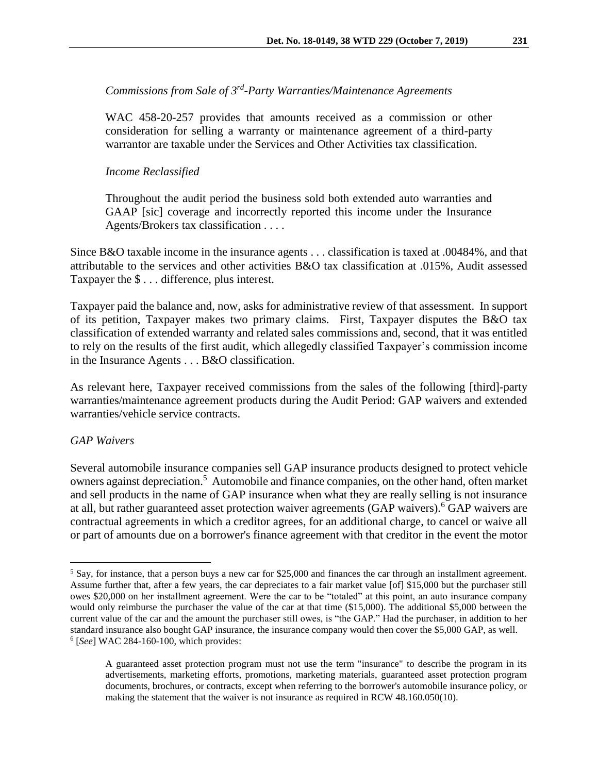# *Commissions from Sale of 3rd -Party Warranties/Maintenance Agreements*

WAC 458-20-257 provides that amounts received as a commission or other consideration for selling a warranty or maintenance agreement of a third-party warrantor are taxable under the Services and Other Activities tax classification.

### *Income Reclassified*

Throughout the audit period the business sold both extended auto warranties and GAAP [sic] coverage and incorrectly reported this income under the Insurance Agents/Brokers tax classification . . . .

Since B&O taxable income in the insurance agents . . . classification is taxed at .00484%, and that attributable to the services and other activities B&O tax classification at .015%, Audit assessed Taxpayer the \$ . . . difference, plus interest.

Taxpayer paid the balance and, now, asks for administrative review of that assessment. In support of its petition, Taxpayer makes two primary claims. First, Taxpayer disputes the B&O tax classification of extended warranty and related sales commissions and, second, that it was entitled to rely on the results of the first audit, which allegedly classified Taxpayer's commission income in the Insurance Agents . . . B&O classification.

As relevant here, Taxpayer received commissions from the sales of the following [third]-party warranties/maintenance agreement products during the Audit Period: GAP waivers and extended warranties/vehicle service contracts.

#### *GAP Waivers*

 $\overline{a}$ 

Several automobile insurance companies sell GAP insurance products designed to protect vehicle owners against depreciation.<sup>5</sup> Automobile and finance companies, on the other hand, often market and sell products in the name of GAP insurance when what they are really selling is not insurance at all, but rather guaranteed asset protection waiver agreements (GAP waivers).<sup>6</sup> GAP waivers are contractual agreements in which a creditor agrees, for an additional charge, to cancel or waive all or part of amounts due on a borrower's finance agreement with that creditor in the event the motor

 $<sup>5</sup>$  Say, for instance, that a person buys a new car for \$25,000 and finances the car through an installment agreement.</sup> Assume further that, after a few years, the car depreciates to a fair market value [of] \$15,000 but the purchaser still owes \$20,000 on her installment agreement. Were the car to be "totaled" at this point, an auto insurance company would only reimburse the purchaser the value of the car at that time (\$15,000). The additional \$5,000 between the current value of the car and the amount the purchaser still owes, is "the GAP." Had the purchaser, in addition to her standard insurance also bought GAP insurance, the insurance company would then cover the \$5,000 GAP, as well. 6 [*See*] WAC 284-160-100, which provides:

A guaranteed asset protection program must not use the term "insurance" to describe the program in its advertisements, marketing efforts, promotions, marketing materials, guaranteed asset protection program documents, brochures, or contracts, except when referring to the borrower's automobile insurance policy, or making the statement that the waiver is not insurance as required in RCW 48.160.050(10).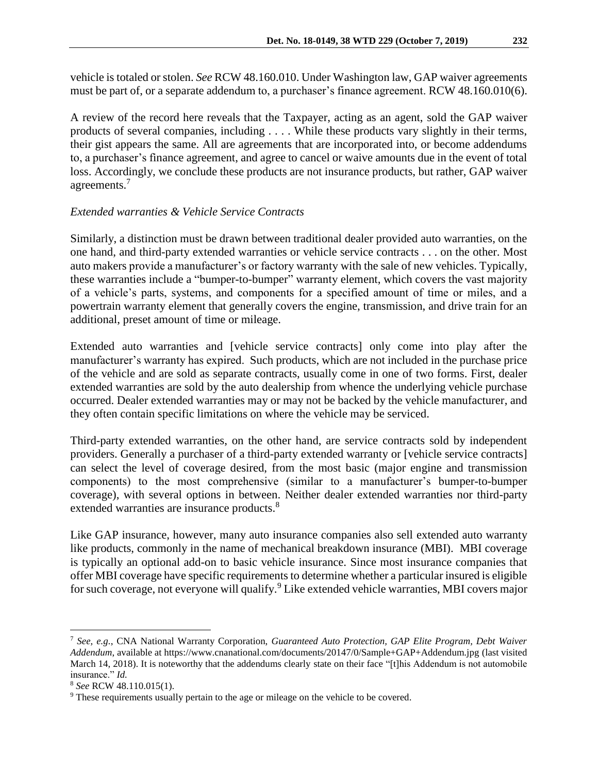vehicle is totaled or stolen. *See* RCW 48.160.010. Under Washington law, GAP waiver agreements must be part of, or a separate addendum to, a purchaser's finance agreement. RCW 48.160.010(6).

A review of the record here reveals that the Taxpayer, acting as an agent, sold the GAP waiver products of several companies, including . . . . While these products vary slightly in their terms, their gist appears the same. All are agreements that are incorporated into, or become addendums to, a purchaser's finance agreement, and agree to cancel or waive amounts due in the event of total loss. Accordingly, we conclude these products are not insurance products, but rather, GAP waiver agreements.<sup>7</sup>

## *Extended warranties & Vehicle Service Contracts*

Similarly, a distinction must be drawn between traditional dealer provided auto warranties, on the one hand, and third-party extended warranties or vehicle service contracts . . . on the other. Most auto makers provide a manufacturer's or factory warranty with the sale of new vehicles. Typically, these warranties include a "bumper-to-bumper" warranty element, which covers the vast majority of a vehicle's parts, systems, and components for a specified amount of time or miles, and a powertrain warranty element that generally covers the engine, transmission, and drive train for an additional, preset amount of time or mileage.

Extended auto warranties and [vehicle service contracts] only come into play after the manufacturer's warranty has expired. Such products, which are not included in the purchase price of the vehicle and are sold as separate contracts, usually come in one of two forms. First, dealer extended warranties are sold by the auto dealership from whence the underlying vehicle purchase occurred. Dealer extended warranties may or may not be backed by the vehicle manufacturer, and they often contain specific limitations on where the vehicle may be serviced.

Third-party extended warranties, on the other hand, are service contracts sold by independent providers. Generally a purchaser of a third-party extended warranty or [vehicle service contracts] can select the level of coverage desired, from the most basic (major engine and transmission components) to the most comprehensive (similar to a manufacturer's bumper-to-bumper coverage), with several options in between. Neither dealer extended warranties nor third-party extended warranties are insurance products.<sup>8</sup>

Like GAP insurance, however, many auto insurance companies also sell extended auto warranty like products, commonly in the name of mechanical breakdown insurance (MBI). MBI coverage is typically an optional add-on to basic vehicle insurance. Since most insurance companies that offer MBI coverage have specific requirements to determine whether a particular insured is eligible for such coverage, not everyone will qualify.<sup>9</sup> Like extended vehicle warranties, MBI covers major

<sup>7</sup> *See, e.g.*, CNA National Warranty Corporation, *Guaranteed Auto Protection, GAP Elite Program, Debt Waiver Addendum*, available at https://www.cnanational.com/documents/20147/0/Sample+GAP+Addendum.jpg (last visited March 14, 2018). It is noteworthy that the addendums clearly state on their face "[t]his Addendum is not automobile insurance." *Id.*

<sup>8</sup> *See* RCW 48.110.015(1).

<sup>&</sup>lt;sup>9</sup> These requirements usually pertain to the age or mileage on the vehicle to be covered.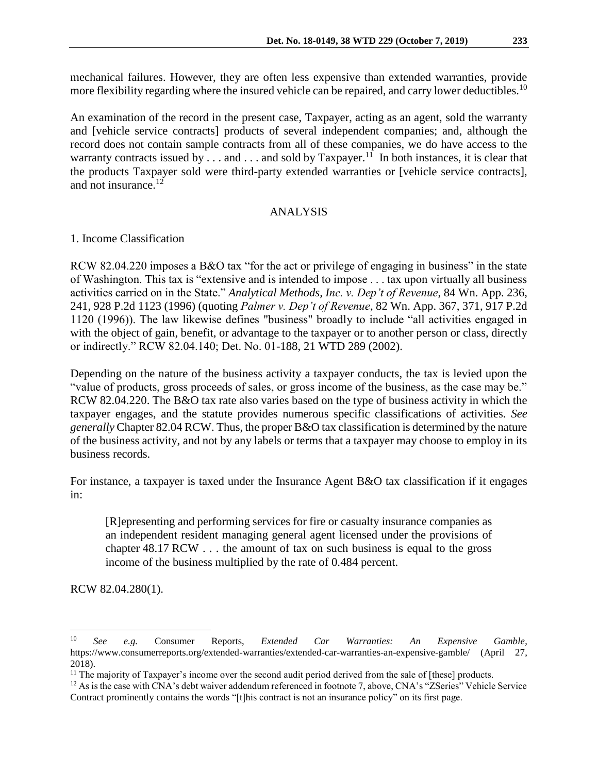mechanical failures. However, they are often less expensive than extended warranties, provide more flexibility regarding where the insured vehicle can be repaired, and carry lower deductibles.<sup>10</sup>

An examination of the record in the present case, Taxpayer, acting as an agent, sold the warranty and [vehicle service contracts] products of several independent companies; and, although the record does not contain sample contracts from all of these companies, we do have access to the warranty contracts issued by  $\ldots$  and  $\ldots$  and sold by Taxpayer.<sup>11</sup> In both instances, it is clear that the products Taxpayer sold were third-party extended warranties or [vehicle service contracts], and not insurance.<sup>12</sup>

### ANALYSIS

1. Income Classification

RCW 82.04.220 imposes a B&O tax "for the act or privilege of engaging in business" in the state of Washington. This tax is "extensive and is intended to impose . . . tax upon virtually all business activities carried on in the State." *Analytical Methods, Inc. v. Dep't of Revenue*, 84 Wn. App. 236, 241, 928 P.2d 1123 (1996) (quoting *Palmer v. Dep't of Revenue*, 82 Wn. App. 367, 371, 917 P.2d 1120 (1996)). The law likewise defines "business" broadly to include "all activities engaged in with the object of gain, benefit, or advantage to the taxpayer or to another person or class, directly or indirectly." RCW 82.04.140; Det. No. 01-188, 21 WTD 289 (2002).

Depending on the nature of the business activity a taxpayer conducts, the tax is levied upon the "value of products, gross proceeds of sales, or gross income of the business, as the case may be." RCW 82.04.220. The B&O tax rate also varies based on the type of business activity in which the taxpayer engages, and the statute provides numerous specific classifications of activities. *See generally* Chapter 82.04 RCW. Thus, the proper B&O tax classification is determined by the nature of the business activity, and not by any labels or terms that a taxpayer may choose to employ in its business records.

For instance, a taxpayer is taxed under the Insurance Agent B&O tax classification if it engages in:

[R]epresenting and performing services for fire or casualty insurance companies as an independent resident managing general agent licensed under the provisions of chapter 48.17 RCW . . . the amount of tax on such business is equal to the gross income of the business multiplied by the rate of 0.484 percent.

RCW 82.04.280(1).

<sup>10</sup> *See e.g.* Consumer Reports, *Extended Car Warranties: An Expensive Gamble*, https://www.consumerreports.org/extended-warranties/extended-car-warranties-an-expensive-gamble/ (April 27, 2018).

<sup>&</sup>lt;sup>11</sup> The majority of Taxpayer's income over the second audit period derived from the sale of [these] products.

<sup>&</sup>lt;sup>12</sup> As is the case with CNA's debt waiver addendum referenced in footnote 7, above, CNA's "ZSeries" Vehicle Service Contract prominently contains the words "[t]his contract is not an insurance policy" on its first page.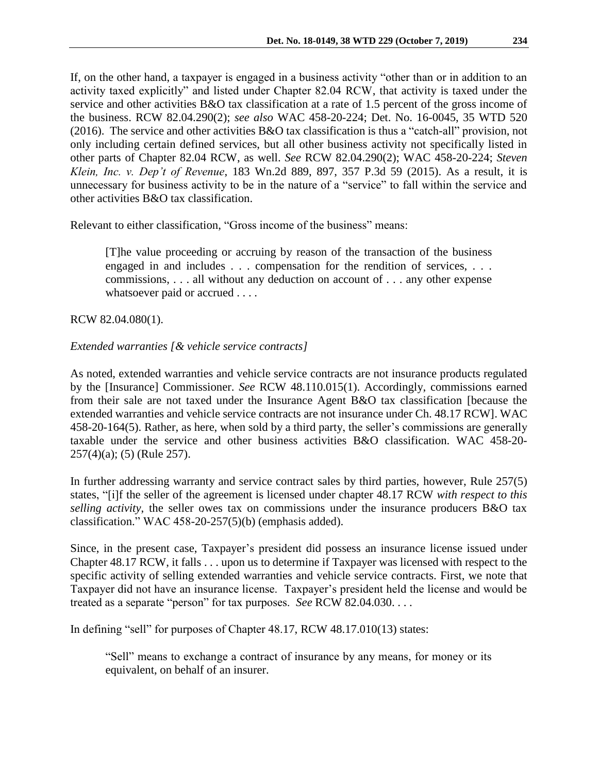If, on the other hand, a taxpayer is engaged in a business activity "other than or in addition to an activity taxed explicitly" and listed under Chapter 82.04 RCW, that activity is taxed under the service and other activities B&O tax classification at a rate of 1.5 percent of the gross income of the business. RCW 82.04.290(2); *see also* WAC 458-20-224; Det. No. 16-0045, 35 WTD 520 (2016). The service and other activities B&O tax classification is thus a "catch-all" provision, not only including certain defined services, but all other business activity not specifically listed in other parts of Chapter 82.04 RCW, as well. *See* RCW 82.04.290(2); WAC 458-20-224; *Steven Klein, Inc. v. Dep't of Revenue*, 183 Wn.2d 889, 897, 357 P.3d 59 (2015). As a result, it is unnecessary for business activity to be in the nature of a "service" to fall within the service and other activities B&O tax classification.

Relevant to either classification, "Gross income of the business" means:

[T]he value proceeding or accruing by reason of the transaction of the business engaged in and includes . . . compensation for the rendition of services, . . . commissions, . . . all without any deduction on account of . . . any other expense whatsoever paid or accrued . . . .

### RCW 82.04.080(1).

### *Extended warranties [& vehicle service contracts]*

As noted, extended warranties and vehicle service contracts are not insurance products regulated by the [Insurance] Commissioner. *See* RCW 48.110.015(1). Accordingly, commissions earned from their sale are not taxed under the Insurance Agent B&O tax classification [because the extended warranties and vehicle service contracts are not insurance under Ch. 48.17 RCW]. WAC 458-20-164(5). Rather, as here, when sold by a third party, the seller's commissions are generally taxable under the service and other business activities B&O classification. WAC 458-20- 257(4)(a); (5) (Rule 257).

In further addressing warranty and service contract sales by third parties, however, Rule 257(5) states, "[i]f the seller of the agreement is licensed under chapter 48.17 RCW *with respect to this selling activity*, the seller owes tax on commissions under the insurance producers B&O tax classification." WAC 458-20-257(5)(b) (emphasis added).

Since, in the present case, Taxpayer's president did possess an insurance license issued under Chapter 48.17 RCW, it falls . . . upon us to determine if Taxpayer was licensed with respect to the specific activity of selling extended warranties and vehicle service contracts. First, we note that Taxpayer did not have an insurance license. Taxpayer's president held the license and would be treated as a separate "person" for tax purposes. *See* RCW 82.04.030. . . .

In defining "sell" for purposes of Chapter 48.17, RCW 48.17.010(13) states:

"Sell" means to exchange a contract of insurance by any means, for money or its equivalent, on behalf of an insurer.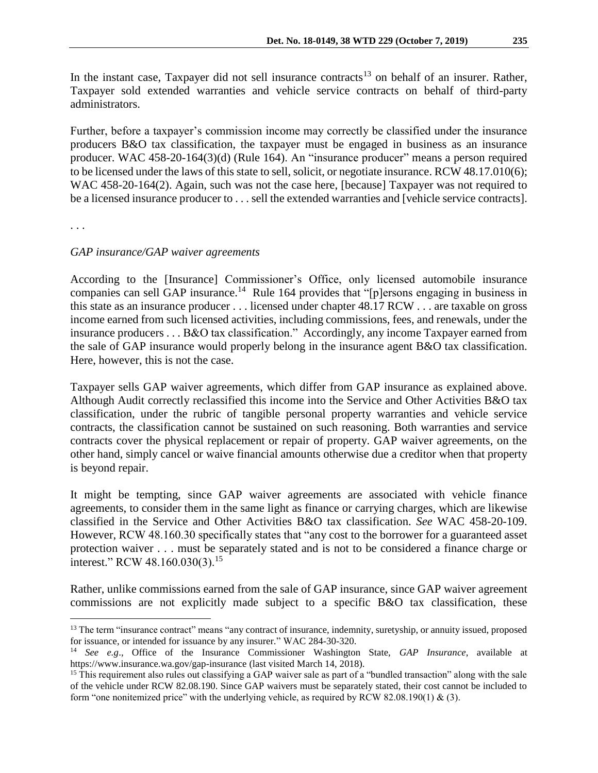In the instant case, Taxpayer did not sell insurance contracts<sup>13</sup> on behalf of an insurer. Rather, Taxpayer sold extended warranties and vehicle service contracts on behalf of third-party administrators.

Further, before a taxpayer's commission income may correctly be classified under the insurance producers B&O tax classification, the taxpayer must be engaged in business as an insurance producer. WAC 458-20-164(3)(d) (Rule 164). An "insurance producer" means a person required to be licensed under the laws of this state to sell, solicit, or negotiate insurance. RCW 48.17.010(6); WAC 458-20-164(2). Again, such was not the case here, [because] Taxpayer was not required to be a licensed insurance producer to . . . sell the extended warranties and [vehicle service contracts].

. . .

 $\overline{a}$ 

### *GAP insurance/GAP waiver agreements*

According to the [Insurance] Commissioner's Office, only licensed automobile insurance companies can sell GAP insurance.<sup>14</sup> Rule 164 provides that "[p]ersons engaging in business in this state as an insurance producer . . . licensed under chapter 48.17 RCW . . . are taxable on gross income earned from such licensed activities, including commissions, fees, and renewals, under the insurance producers . . . B&O tax classification." Accordingly, any income Taxpayer earned from the sale of GAP insurance would properly belong in the insurance agent B&O tax classification. Here, however, this is not the case.

Taxpayer sells GAP waiver agreements, which differ from GAP insurance as explained above. Although Audit correctly reclassified this income into the Service and Other Activities B&O tax classification, under the rubric of tangible personal property warranties and vehicle service contracts, the classification cannot be sustained on such reasoning. Both warranties and service contracts cover the physical replacement or repair of property. GAP waiver agreements, on the other hand, simply cancel or waive financial amounts otherwise due a creditor when that property is beyond repair.

It might be tempting, since GAP waiver agreements are associated with vehicle finance agreements, to consider them in the same light as finance or carrying charges, which are likewise classified in the Service and Other Activities B&O tax classification. *See* WAC 458-20-109. However, RCW 48.160.30 specifically states that "any cost to the borrower for a guaranteed asset protection waiver . . . must be separately stated and is not to be considered a finance charge or interest." RCW 48.160.030(3).<sup>15</sup>

Rather, unlike commissions earned from the sale of GAP insurance, since GAP waiver agreement commissions are not explicitly made subject to a specific B&O tax classification, these

<sup>&</sup>lt;sup>13</sup> The term "insurance contract" means "any contract of insurance, indemnity, suretyship, or annuity issued, proposed for issuance, or intended for issuance by any insurer." WAC 284-30-320.

<sup>14</sup> *See e.g*., Office of the Insurance Commissioner Washington State, *GAP Insurance*, available at https://www.insurance.wa.gov/gap-insurance (last visited March 14, 2018).

<sup>&</sup>lt;sup>15</sup> This requirement also rules out classifying a GAP waiver sale as part of a "bundled transaction" along with the sale of the vehicle under RCW 82.08.190. Since GAP waivers must be separately stated, their cost cannot be included to form "one nonitemized price" with the underlying vehicle, as required by RCW 82.08.190(1) & (3).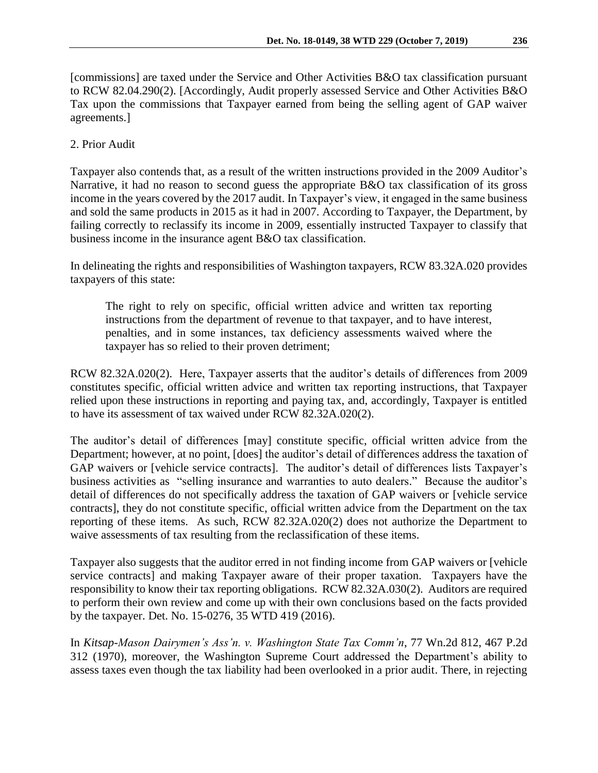[commissions] are taxed under the Service and Other Activities B&O tax classification pursuant to RCW 82.04.290(2). [Accordingly, Audit properly assessed Service and Other Activities B&O Tax upon the commissions that Taxpayer earned from being the selling agent of GAP waiver agreements.]

# 2. Prior Audit

Taxpayer also contends that, as a result of the written instructions provided in the 2009 Auditor's Narrative, it had no reason to second guess the appropriate B&O tax classification of its gross income in the years covered by the 2017 audit. In Taxpayer's view, it engaged in the same business and sold the same products in 2015 as it had in 2007. According to Taxpayer, the Department, by failing correctly to reclassify its income in 2009, essentially instructed Taxpayer to classify that business income in the insurance agent B&O tax classification.

In delineating the rights and responsibilities of Washington taxpayers, RCW 83.32A.020 provides taxpayers of this state:

The right to rely on specific, official written advice and written tax reporting instructions from the department of revenue to that taxpayer, and to have interest, penalties, and in some instances, tax deficiency assessments waived where the taxpayer has so relied to their proven detriment;

RCW 82.32A.020(2). Here, Taxpayer asserts that the auditor's details of differences from 2009 constitutes specific, official written advice and written tax reporting instructions, that Taxpayer relied upon these instructions in reporting and paying tax, and, accordingly, Taxpayer is entitled to have its assessment of tax waived under RCW 82.32A.020(2).

The auditor's detail of differences [may] constitute specific, official written advice from the Department; however, at no point, [does] the auditor's detail of differences address the taxation of GAP waivers or [vehicle service contracts]. The auditor's detail of differences lists Taxpayer's business activities as "selling insurance and warranties to auto dealers." Because the auditor's detail of differences do not specifically address the taxation of GAP waivers or [vehicle service contracts], they do not constitute specific, official written advice from the Department on the tax reporting of these items. As such, RCW 82.32A.020(2) does not authorize the Department to waive assessments of tax resulting from the reclassification of these items.

Taxpayer also suggests that the auditor erred in not finding income from GAP waivers or [vehicle service contracts] and making Taxpayer aware of their proper taxation. Taxpayers have the responsibility to know their tax reporting obligations. RCW 82.32A.030(2). Auditors are required to perform their own review and come up with their own conclusions based on the facts provided by the taxpayer. Det. No. 15-0276, 35 WTD 419 (2016).

In *Kitsap-Mason Dairymen's Ass'n. v. Washington State Tax Comm'n*, 77 Wn.2d 812, 467 P.2d 312 (1970), moreover, the Washington Supreme Court addressed the Department's ability to assess taxes even though the tax liability had been overlooked in a prior audit. There, in rejecting